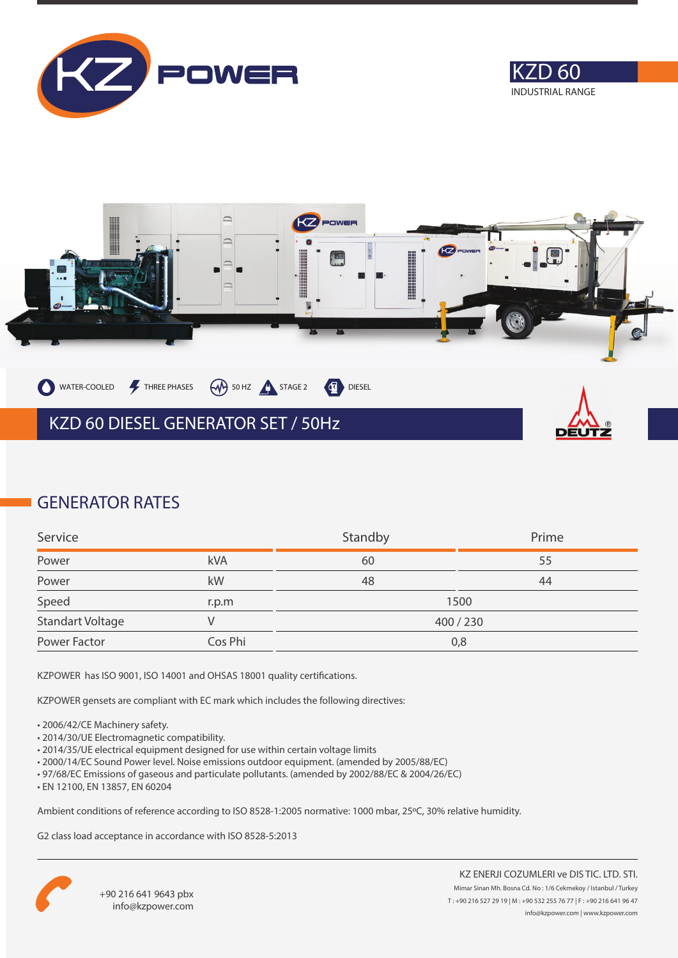





### **GENERATOR RATES**

| Service                 |         | Standby | Prime |
|-------------------------|---------|---------|-------|
| Power                   | kVA     | 60      | 55    |
| Power                   | kW      | 48      | 44    |
| Speed                   | r.p.m   | 1500    |       |
| <b>Standart Voltage</b> |         | 400/230 |       |
| Power Factor            | Cos Phi | 0,8     |       |

KZPOWER has ISO 9001, ISO 14001 and OHSAS 18001 quality certifications.

KZPOWER gensets are compliant with EC mark which includes the following directives:

- 2006/42/CE Machinery safety.
- 2014/30/UE Electromagnetic compatibility.
- 2014/35/UE electrical equipment designed for use within certain voltage limits
- 2000/14/EC Sound Power level. Noise emissions outdoor equipment. (amended by 2005/88/EC)
- 97/68/EC Emissions of gaseous and particulate pollutants. (amended by 2002/88/EC & 2004/26/EC)
- EN 12100, EN 13857, EN 60204

Ambient conditions of reference according to ISO 8528-1:2005 normative: 1000 mbar, 25ºC, 30% relative humidity.

G2 class load acceptance in accordance with ISO 8528-5:2013

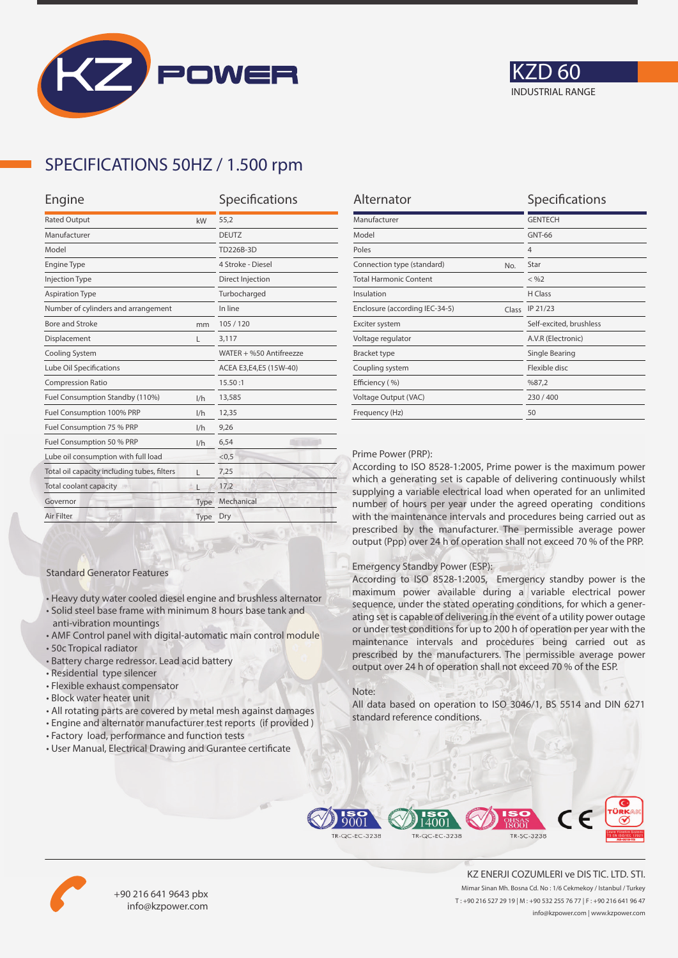



## **SPECIFICATIONS 50HZ / 1.500 rpm**

| Alternator                              | Specifications          |
|-----------------------------------------|-------------------------|
| Manufacturer                            | <b>GENTECH</b>          |
| Model                                   | GNT-66                  |
| Poles                                   | $\overline{4}$          |
| Connection type (standard)<br>No.       | Star                    |
| <b>Total Harmonic Content</b>           | $<$ %2                  |
| Insulation                              | H Class                 |
| Enclosure (according IEC-34-5)<br>Class | IP 21/23                |
| Exciter system                          | Self-excited, brushless |
| Voltage regulator                       | A.V.R (Electronic)      |
| <b>Bracket type</b>                     | Single Bearing          |
| Coupling system                         | Flexible disc           |
| Efficiency (%)                          | %87,2                   |
| Voltage Output (VAC)                    | 230/400                 |
| Frequency (Hz)                          | 50                      |

#### Prime Power (PRP):

According to ISO 8528-1:2005, Prime power is the maximum power which a generating set is capable of delivering continuously whilst supplying a variable electrical load when operated for an unlimited number of hours per year under the agreed operating conditions with the maintenance intervals and procedures being carried out as prescribed by the manufacturer. The permissible average power output (Ppp) over 24 h of operation shall not exceed 70 % of the PRP.

#### Emergency Standby Power (ESP):

According to ISO 8528-1:2005, Emergency standby power is the maximum power available during a variable electrical power sequence, under the stated operating conditions, for which a generating set is capable of delivering in the event of a utility power outage or under test conditions for up to 200 h of operation per year with the maintenance intervals and procedures being carried out as prescribed by the manufacturers. The permissible average power output over 24 h of operation shall not exceed 70 % of the ESP.

#### Note:

All data based on operation to ISO 3046/1, BS 5514 and DIN 6271 standard reference conditions.



• All rotating parts are covered by metal mesh against damages • Engine and alternator manufacturer test reports (if provided )

• Heavy duty water cooled diesel engine and brushless alternator • Solid steel base frame with minimum 8 hours base tank and

• AMF Control panel with digital-automatic main control module

Standard Generator Features

anti-vibration mountings

• Residential type silencer • Flexible exhaust compensator • Block water heater unit

• Battery charge redressor. Lead acid battery

• 50c Tropical radiator

• User Manual, Electrical Drawing and Gurantee certificate





+90 216 641 9643 pbx info@kzpower.com

KZ ENERJI COZUMLERI ve DIS TIC. LTD. STI. Mimar Sinan Mh. Bosna Cd. No : 1/6 Cekmekoy / Istanbul / Turkey T : +90 216 527 29 19 | M : +90 532 255 76 77 | F : +90 216 641 96 47 info@kzpower.com | www.kzpower.com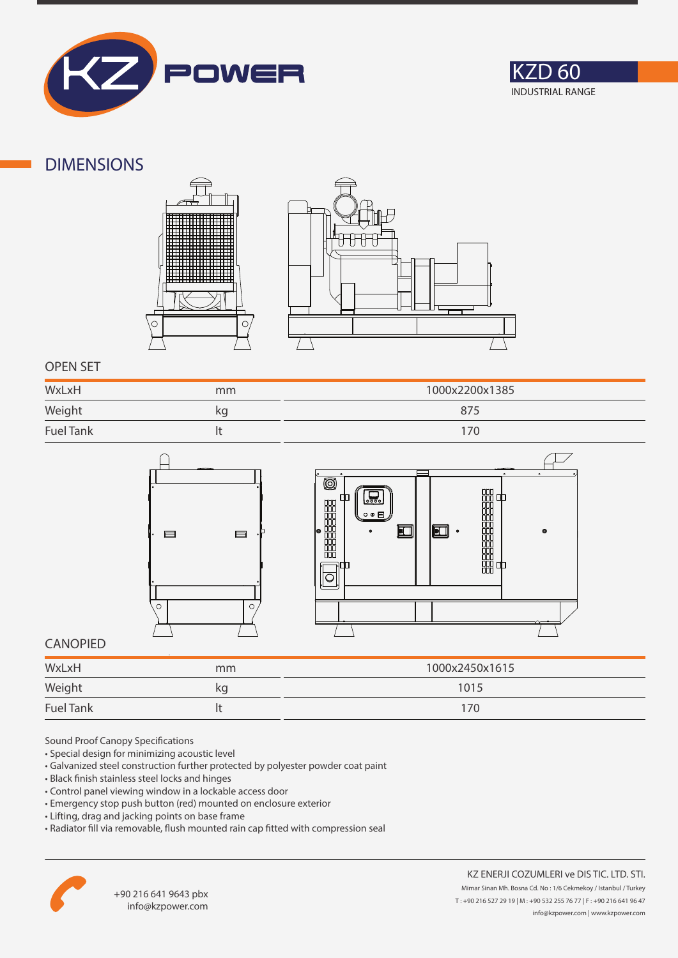



### **DIMENSIONS**





### **OPEN SET**

| WxLxH            | mm | 1000x2200x1385 |
|------------------|----|----------------|
| Weight           | kg | 875            |
| <b>Fuel Tank</b> |    |                |



### **CANOPIED**

| WxLxH            | mm | 1000x2450x1615 |
|------------------|----|----------------|
| Weight           | κg | 1015           |
| <b>Fuel Tank</b> |    | 170            |

Sound Proof Canopy Specifications

- Special design for minimizing acoustic level
- Galvanized steel construction further protected by polyester powder coat paint
- Black finish stainless steel locks and hinges
- Control panel viewing window in a lockable access door
- Emergency stop push button (red) mounted on enclosure exterior
- Lifting, drag and jacking points on base frame
- Radiator fill via removable, flush mounted rain cap fitted with compression seal



醋酯